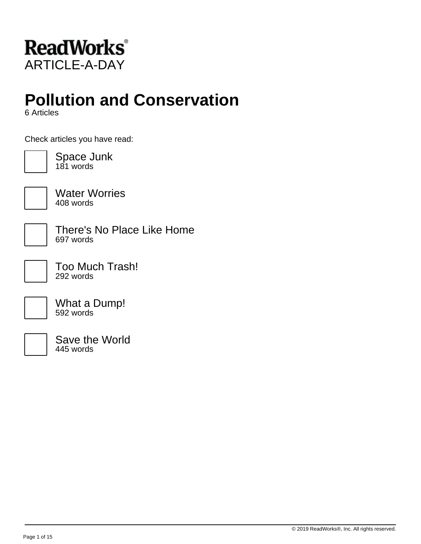

# **Pollution and Conservation**

6 Articles

Check articles you have read:



Space Junk 181 words



Water Worries 408 words

There's No Place Like Home 697 words

Too Much Trash! 292 words

What a Dump! 592 words



Save the World 445 words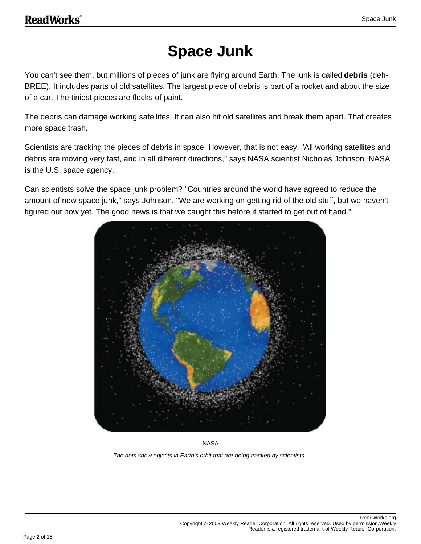## **Space Junk**

You can't see them, but millions of pieces of junk are flying around Earth. The junk is called **debris** (deh-BREE). It includes parts of old satellites. The largest piece of debris is part of a rocket and about the size of a car. The tiniest pieces are flecks of paint.

The debris can damage working satellites. It can also hit old satellites and break them apart. That creates more space trash.

Scientists are tracking the pieces of debris in space. However, that is not easy. "All working satellites and debris are moving very fast, and in all different directions," says NASA scientist Nicholas Johnson. NASA is the U.S. space agency.

Can scientists solve the space junk problem? "Countries around the world have agreed to reduce the amount of new space junk," says Johnson. "We are working on getting rid of the old stuff, but we haven't figured out how yet. The good news is that we caught this before it started to get out of hand."



NASA

The dots show objects in Earth's orbit that are being tracked by scientists.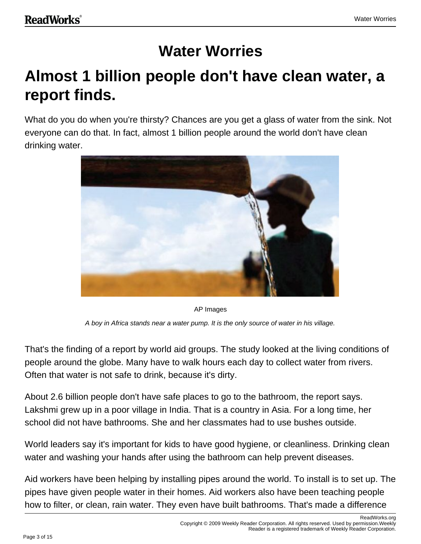## **Water Worries**

## **Almost 1 billion people don't have clean water, a report finds.**

What do you do when you're thirsty? Chances are you get a glass of water from the sink. Not everyone can do that. In fact, almost 1 billion people around the world don't have clean drinking water.



AP Images

A boy in Africa stands near a water pump. It is the only source of water in his village.

That's the finding of a report by world aid groups. The study looked at the living conditions of people around the globe. Many have to walk hours each day to collect water from rivers. Often that water is not safe to drink, because it's dirty.

About 2.6 billion people don't have safe places to go to the bathroom, the report says. Lakshmi grew up in a poor village in India. That is a country in Asia. For a long time, her school did not have bathrooms. She and her classmates had to use bushes outside.

World leaders say it's important for kids to have good hygiene, or cleanliness. Drinking clean water and washing your hands after using the bathroom can help prevent diseases.

Aid workers have been helping by installing pipes around the world. To install is to set up. The pipes have given people water in their homes. Aid workers also have been teaching people how to filter, or clean, rain water. They even have built bathrooms. That's made a difference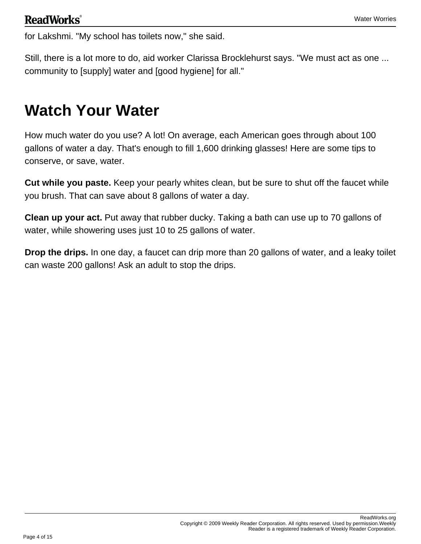for Lakshmi. "My school has toilets now," she said.

Still, there is a lot more to do, aid worker Clarissa Brocklehurst says. "We must act as one ... community to [supply] water and [good hygiene] for all."

### **Watch Your Water**

How much water do you use? A lot! On average, each American goes through about 100 gallons of water a day. That's enough to fill 1,600 drinking glasses! Here are some tips to conserve, or save, water.

**Cut while you paste.** Keep your pearly whites clean, but be sure to shut off the faucet while you brush. That can save about 8 gallons of water a day.

**Clean up your act.** Put away that rubber ducky. Taking a bath can use up to 70 gallons of water, while showering uses just 10 to 25 gallons of water.

**Drop the drips.** In one day, a faucet can drip more than 20 gallons of water, and a leaky toilet can waste 200 gallons! Ask an adult to stop the drips.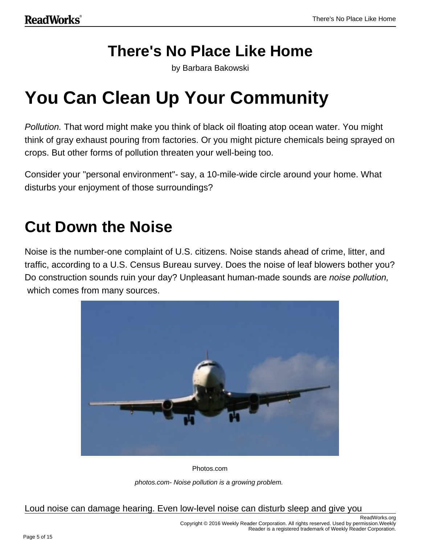### **There's No Place Like Home**

by Barbara Bakowski

# **You Can Clean Up Your Community**

Pollution. That word might make you think of black oil floating atop ocean water. You might think of gray exhaust pouring from factories. Or you might picture chemicals being sprayed on crops. But other forms of pollution threaten your well-being too.

Consider your "personal environment"- say, a 10-mile-wide circle around your home. What disturbs your enjoyment of those surroundings?

## **Cut Down the Noise**

Noise is the number-one complaint of U.S. citizens. Noise stands ahead of crime, litter, and traffic, according to a U.S. Census Bureau survey. Does the noise of leaf blowers bother you? Do construction sounds ruin your day? Unpleasant human-made sounds are *noise pollution*, which comes from many sources.



Photos.com

photos.com- Noise pollution is a growing problem.

Loud noise can damage hearing. Even low-level noise can disturb sleep and give you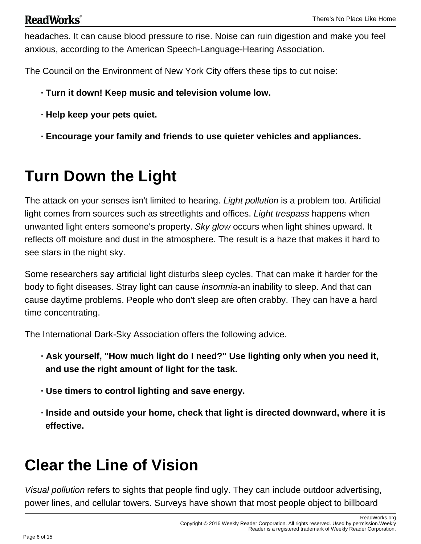#### **ReadWorks**<sup>®</sup>

headaches. It can cause blood pressure to rise. Noise can ruin digestion and make you feel anxious, according to the American Speech-Language-Hearing Association.

The Council on the Environment of New York City offers these tips to cut noise:

- **· Turn it down! Keep music and television volume low.**
- **· Help keep your pets quiet.**
- **· Encourage your family and friends to use quieter vehicles and appliances.**

# **Turn Down the Light**

The attack on your senses isn't limited to hearing. Light pollution is a problem too. Artificial light comes from sources such as streetlights and offices. Light trespass happens when unwanted light enters someone's property. Sky glow occurs when light shines upward. It reflects off moisture and dust in the atmosphere. The result is a haze that makes it hard to see stars in the night sky.

Some researchers say artificial light disturbs sleep cycles. That can make it harder for the body to fight diseases. Stray light can cause *insomnia*-an inability to sleep. And that can cause daytime problems. People who don't sleep are often crabby. They can have a hard time concentrating.

The International Dark-Sky Association offers the following advice.

- **· Ask yourself, "How much light do I need?" Use lighting only when you need it, and use the right amount of light for the task.**
- **· Use timers to control lighting and save energy.**
- **· Inside and outside your home, check that light is directed downward, where it is effective.**

# **Clear the Line of Vision**

Visual pollution refers to sights that people find ugly. They can include outdoor advertising, power lines, and cellular towers. Surveys have shown that most people object to billboard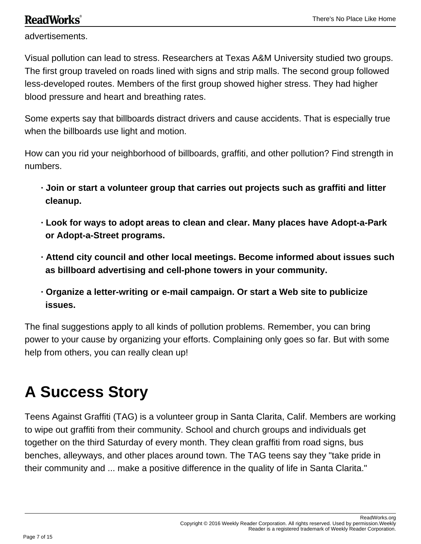#### **ReadWorks**<sup>®</sup>

advertisements.

Visual pollution can lead to stress. Researchers at Texas A&M University studied two groups. The first group traveled on roads lined with signs and strip malls. The second group followed less-developed routes. Members of the first group showed higher stress. They had higher blood pressure and heart and breathing rates.

Some experts say that billboards distract drivers and cause accidents. That is especially true when the billboards use light and motion.

How can you rid your neighborhood of billboards, graffiti, and other pollution? Find strength in numbers.

- **· Join or start a volunteer group that carries out projects such as graffiti and litter cleanup.**
- **· Look for ways to adopt areas to clean and clear. Many places have Adopt-a-Park or Adopt-a-Street programs.**
- **· Attend city council and other local meetings. Become informed about issues such as billboard advertising and cell-phone towers in your community.**
- **· Organize a letter-writing or e-mail campaign. Or start a Web site to publicize issues.**

The final suggestions apply to all kinds of pollution problems. Remember, you can bring power to your cause by organizing your efforts. Complaining only goes so far. But with some help from others, you can really clean up!

## **A Success Story**

Teens Against Graffiti (TAG) is a volunteer group in Santa Clarita, Calif. Members are working to wipe out graffiti from their community. School and church groups and individuals get together on the third Saturday of every month. They clean graffiti from road signs, bus benches, alleyways, and other places around town. The TAG teens say they "take pride in their community and ... make a positive difference in the quality of life in Santa Clarita."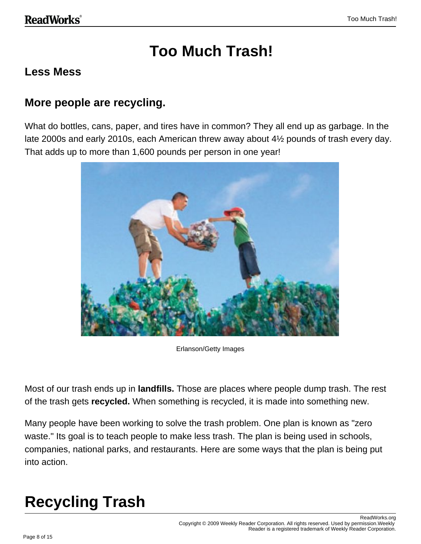## **Too Much Trash!**

#### **Less Mess**

#### **More people are recycling.**

What do bottles, cans, paper, and tires have in common? They all end up as garbage. In the late 2000s and early 2010s, each American threw away about 4½ pounds of trash every day. That adds up to more than 1,600 pounds per person in one year!



Erlanson/Getty Images

Most of our trash ends up in **landfills.** Those are places where people dump trash. The rest of the trash gets **recycled.** When something is recycled, it is made into something new.

Many people have been working to solve the trash problem. One plan is known as "zero waste." Its goal is to teach people to make less trash. The plan is being used in schools, companies, national parks, and restaurants. Here are some ways that the plan is being put into action.

# **Recycling Trash**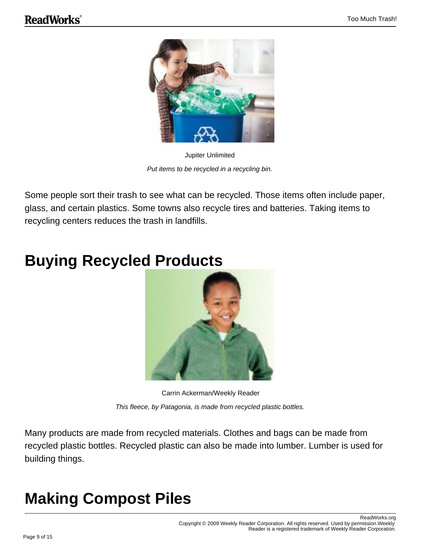

Jupiter Unlimited Put items to be recycled in a recycling bin.

Some people sort their trash to see what can be recycled. Those items often include paper, glass, and certain plastics. Some towns also recycle tires and batteries. Taking items to recycling centers reduces the trash in landfills.

## **Buying Recycled Products**



Carrin Ackerman/Weekly Reader This fleece, by Patagonia, is made from recycled plastic bottles.

Many products are made from recycled materials. Clothes and bags can be made from recycled plastic bottles. Recycled plastic can also be made into lumber. Lumber is used for building things.

# **Making Compost Piles**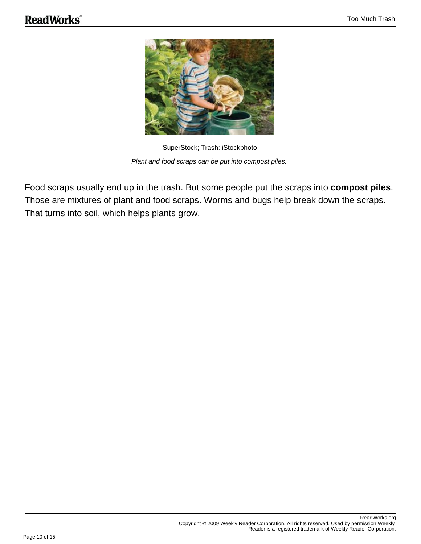

SuperStock; Trash: iStockphoto Plant and food scraps can be put into compost piles.

Food scraps usually end up in the trash. But some people put the scraps into **compost piles**. Those are mixtures of plant and food scraps. Worms and bugs help break down the scraps. That turns into soil, which helps plants grow.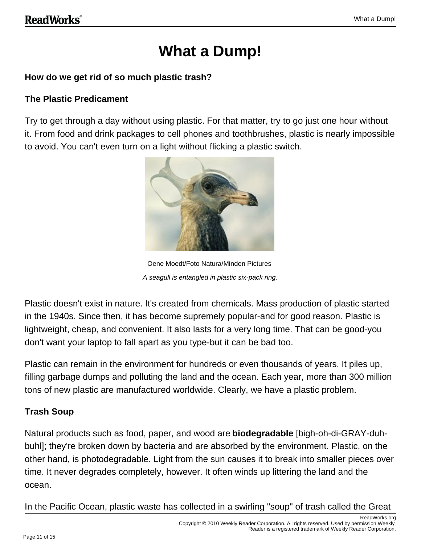## **What a Dump!**

#### **How do we get rid of so much plastic trash?**

#### **The Plastic Predicament**

Try to get through a day without using plastic. For that matter, try to go just one hour without it. From food and drink packages to cell phones and toothbrushes, plastic is nearly impossible to avoid. You can't even turn on a light without flicking a plastic switch.



Oene Moedt/Foto Natura/Minden Pictures A seagull is entangled in plastic six-pack ring.

Plastic doesn't exist in nature. It's created from chemicals. Mass production of plastic started in the 1940s. Since then, it has become supremely popular-and for good reason. Plastic is lightweight, cheap, and convenient. It also lasts for a very long time. That can be good-you don't want your laptop to fall apart as you type-but it can be bad too.

Plastic can remain in the environment for hundreds or even thousands of years. It piles up, filling garbage dumps and polluting the land and the ocean. Each year, more than 300 million tons of new plastic are manufactured worldwide. Clearly, we have a plastic problem.

#### **Trash Soup**

Natural products such as food, paper, and wood are **biodegradable** [bigh-oh-di-GRAY-duhbuhl]; they're broken down by bacteria and are absorbed by the environment. Plastic, on the other hand, is photodegradable. Light from the sun causes it to break into smaller pieces over time. It never degrades completely, however. It often winds up littering the land and the ocean.

In the Pacific Ocean, plastic waste has collected in a swirling "soup" of trash called the Great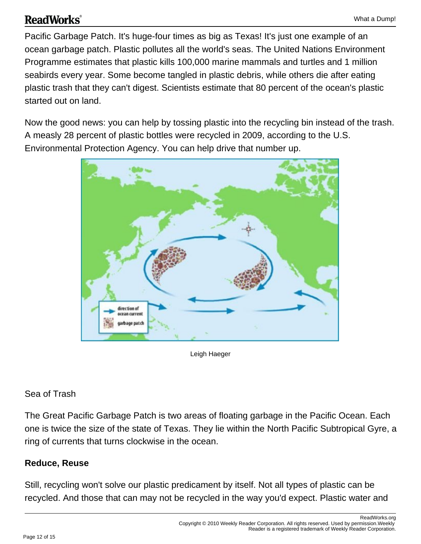#### **ReadWorks**®

Pacific Garbage Patch. It's huge-four times as big as Texas! It's just one example of an ocean garbage patch. Plastic pollutes all the world's seas. The United Nations Environment Programme estimates that plastic kills 100,000 marine mammals and turtles and 1 million seabirds every year. Some become tangled in plastic debris, while others die after eating plastic trash that they can't digest. Scientists estimate that 80 percent of the ocean's plastic started out on land.

Now the good news: you can help by tossing plastic into the recycling bin instead of the trash. A measly 28 percent of plastic bottles were recycled in 2009, according to the U.S. Environmental Protection Agency. You can help drive that number up.



Leigh Haeger

#### Sea of Trash

The Great Pacific Garbage Patch is two areas of floating garbage in the Pacific Ocean. Each one is twice the size of the state of Texas. They lie within the North Pacific Subtropical Gyre, a ring of currents that turns clockwise in the ocean.

#### **Reduce, Reuse**

Still, recycling won't solve our plastic predicament by itself. Not all types of plastic can be recycled. And those that can may not be recycled in the way you'd expect. Plastic water and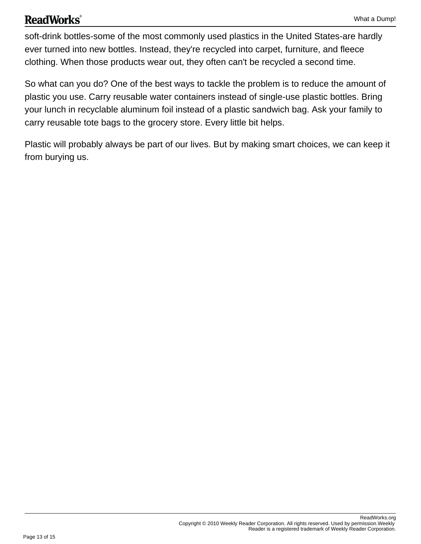#### **ReadWorks**®

soft-drink bottles-some of the most commonly used plastics in the United States-are hardly ever turned into new bottles. Instead, they're recycled into carpet, furniture, and fleece clothing. When those products wear out, they often can't be recycled a second time.

So what can you do? One of the best ways to tackle the problem is to reduce the amount of plastic you use. Carry reusable water containers instead of single-use plastic bottles. Bring your lunch in recyclable aluminum foil instead of a plastic sandwich bag. Ask your family to carry reusable tote bags to the grocery store. Every little bit helps.

Plastic will probably always be part of our lives. But by making smart choices, we can keep it from burying us.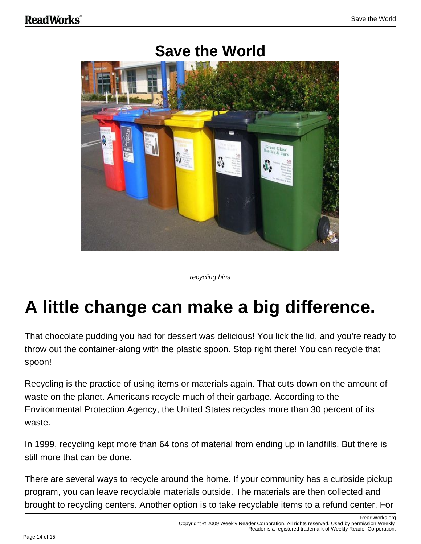

### **Save the World**

recycling bins

# **A little change can make a big difference.**

That chocolate pudding you had for dessert was delicious! You lick the lid, and you're ready to throw out the container-along with the plastic spoon. Stop right there! You can recycle that spoon!

Recycling is the practice of using items or materials again. That cuts down on the amount of waste on the planet. Americans recycle much of their garbage. According to the Environmental Protection Agency, the United States recycles more than 30 percent of its waste.

In 1999, recycling kept more than 64 tons of material from ending up in landfills. But there is still more that can be done.

There are several ways to recycle around the home. If your community has a curbside pickup program, you can leave recyclable materials outside. The materials are then collected and brought to recycling centers. Another option is to take recyclable items to a refund center. For